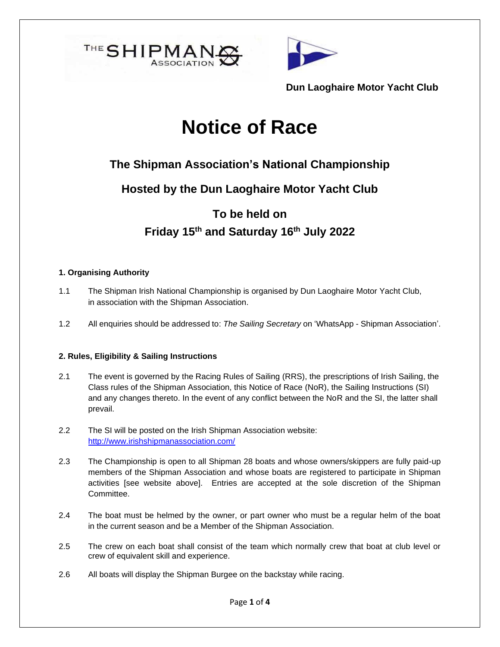



# **Notice of Race**

# **The Shipman Association's National Championship**

**Hosted by the Dun Laoghaire Motor Yacht Club**

# **To be held on Friday 15th and Saturday 16th July 2022**

#### **1. Organising Authority**

- 1.1 The Shipman Irish National Championship is organised by Dun Laoghaire Motor Yacht Club, in association with the Shipman Association.
- 1.2 All enquiries should be addressed to: *The Sailing Secretary* on 'WhatsApp Shipman Association'.

#### **2. Rules, Eligibility & Sailing Instructions**

- 2.1 The event is governed by the Racing Rules of Sailing (RRS), the prescriptions of Irish Sailing, the Class rules of the Shipman Association, this Notice of Race (NoR), the Sailing Instructions (SI) and any changes thereto. In the event of any conflict between the NoR and the SI, the latter shall prevail.
- 2.2 The SI will be posted on the Irish Shipman Association website: <http://www.irishshipmanassociation.com/>
- 2.3 The Championship is open to all Shipman 28 boats and whose owners/skippers are fully paid-up members of the Shipman Association and whose boats are registered to participate in Shipman activities [see website above]. Entries are accepted at the sole discretion of the Shipman Committee.
- 2.4 The boat must be helmed by the owner, or part owner who must be a regular helm of the boat in the current season and be a Member of the Shipman Association.
- 2.5 The crew on each boat shall consist of the team which normally crew that boat at club level or crew of equivalent skill and experience.
- 2.6 All boats will display the Shipman Burgee on the backstay while racing.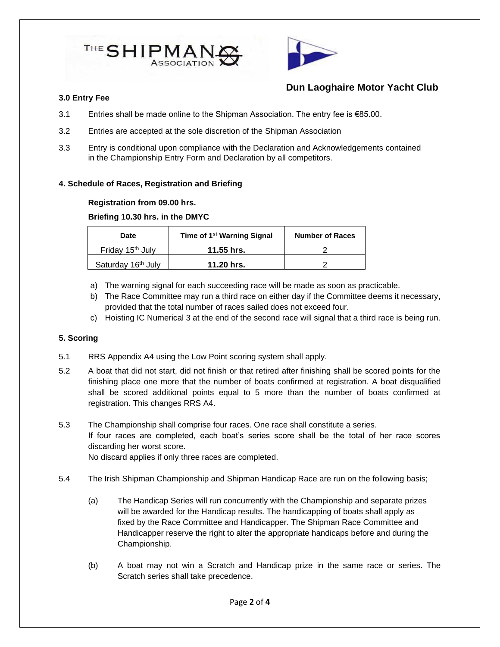



#### **3.0 Entry Fee**

- 3.1 Entries shall be made online to the Shipman Association. The entry fee is €85.00.
- 3.2 Entries are accepted at the sole discretion of the Shipman Association
- 3.3 Entry is conditional upon compliance with the Declaration and Acknowledgements contained in the Championship Entry Form and Declaration by all competitors.

#### **4. Schedule of Races, Registration and Briefing**

#### **Registration from 09.00 hrs.**

#### **Briefing 10.30 hrs. in the DMYC**

| <b>Date</b>                    | Time of 1 <sup>st</sup> Warning Signal | <b>Number of Races</b> |
|--------------------------------|----------------------------------------|------------------------|
| Friday 15 <sup>th</sup> July   | 11.55 hrs.                             |                        |
| Saturday 16 <sup>th</sup> July | 11.20 hrs.                             |                        |

- a) The warning signal for each succeeding race will be made as soon as practicable.
- b) The Race Committee may run a third race on either day if the Committee deems it necessary, provided that the total number of races sailed does not exceed four.
- c) Hoisting IC Numerical 3 at the end of the second race will signal that a third race is being run.

#### **5. Scoring**

- 5.1 RRS Appendix A4 using the Low Point scoring system shall apply.
- 5.2 A boat that did not start, did not finish or that retired after finishing shall be scored points for the finishing place one more that the number of boats confirmed at registration. A boat disqualified shall be scored additional points equal to 5 more than the number of boats confirmed at registration. This changes RRS A4.
- 5.3 The Championship shall comprise four races. One race shall constitute a series. If four races are completed, each boat's series score shall be the total of her race scores discarding her worst score. No discard applies if only three races are completed.

5.4 The Irish Shipman Championship and Shipman Handicap Race are run on the following basis;

- (a) The Handicap Series will run concurrently with the Championship and separate prizes will be awarded for the Handicap results. The handicapping of boats shall apply as fixed by the Race Committee and Handicapper. The Shipman Race Committee and Handicapper reserve the right to alter the appropriate handicaps before and during the Championship.
- (b) A boat may not win a Scratch and Handicap prize in the same race or series. The Scratch series shall take precedence.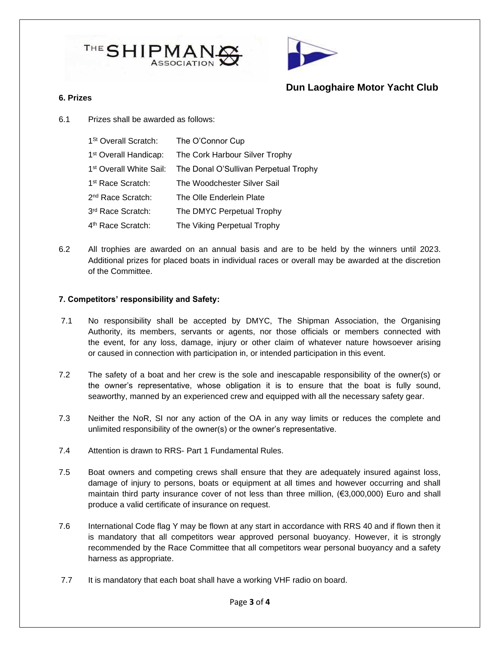



#### **6. Prizes**

6.1 Prizes shall be awarded as follows:

| 1 <sup>St</sup> Overall Scratch:    | The O'Connor Cup                      |
|-------------------------------------|---------------------------------------|
| 1 <sup>st</sup> Overall Handicap:   | The Cork Harbour Silver Trophy        |
| 1 <sup>st</sup> Overall White Sail: | The Donal O'Sullivan Perpetual Trophy |
| 1 <sup>st</sup> Race Scratch:       | The Woodchester Silver Sail           |
| 2 <sup>nd</sup> Race Scratch:       | The Olle Enderlein Plate              |
| 3rd Race Scratch:                   | The DMYC Perpetual Trophy             |
| 4 <sup>th</sup> Race Scratch:       | The Viking Perpetual Trophy           |

6.2 All trophies are awarded on an annual basis and are to be held by the winners until 2023. Additional prizes for placed boats in individual races or overall may be awarded at the discretion of the Committee.

#### **7. Competitors' responsibility and Safety:**

- 7.1 No responsibility shall be accepted by DMYC, The Shipman Association, the Organising Authority, its members, servants or agents, nor those officials or members connected with the event, for any loss, damage, injury or other claim of whatever nature howsoever arising or caused in connection with participation in, or intended participation in this event.
- 7.2 The safety of a boat and her crew is the sole and inescapable responsibility of the owner(s) or the owner's representative, whose obligation it is to ensure that the boat is fully sound, seaworthy, manned by an experienced crew and equipped with all the necessary safety gear.
- 7.3 Neither the NoR, SI nor any action of the OA in any way limits or reduces the complete and unlimited responsibility of the owner(s) or the owner's representative.
- 7.4 Attention is drawn to RRS- Part 1 Fundamental Rules.
- 7.5 Boat owners and competing crews shall ensure that they are adequately insured against loss, damage of injury to persons, boats or equipment at all times and however occurring and shall maintain third party insurance cover of not less than three million, (€3,000,000) Euro and shall produce a valid certificate of insurance on request.
- 7.6 International Code flag Y may be flown at any start in accordance with RRS 40 and if flown then it is mandatory that all competitors wear approved personal buoyancy. However, it is strongly recommended by the Race Committee that all competitors wear personal buoyancy and a safety harness as appropriate.
- 7.7 It is mandatory that each boat shall have a working VHF radio on board.